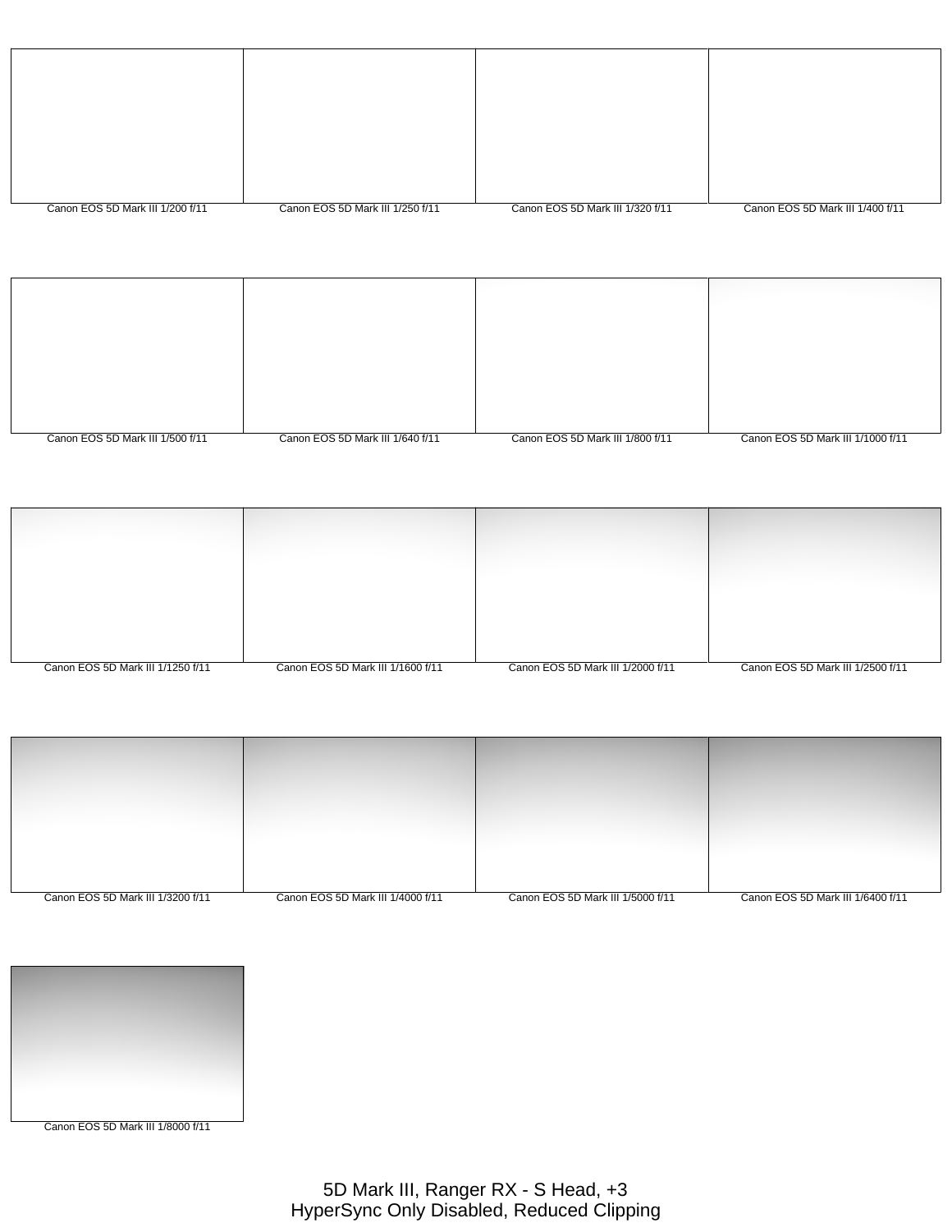| Canon EOS 5D Mark III 1/200 f/11 | Canon EOS 5D Mark III 1/250 f/11 | Canon EOS 5D Mark III 1/320 f/11 | Canon EOS 5D Mark III 1/400 f/11 |
|----------------------------------|----------------------------------|----------------------------------|----------------------------------|

| Canon EOS 5D Mark III 1/500 f/11 | Canon EOS 5D Mark III 1/640 f/11 | Canon EOS 5D Mark III 1/800 f/11 | Canon EOS 5D Mark III 1/1000 f/11 |
|----------------------------------|----------------------------------|----------------------------------|-----------------------------------|

| Canon EOS 5D Mark III 1/1250 f/11 | Canon EOS 5D Mark III 1/1600 f/11 | Canon EOS 5D Mark III 1/2000 f/11 | Canon EOS 5D Mark III 1/2500 f/11 |
|-----------------------------------|-----------------------------------|-----------------------------------|-----------------------------------|

| Canon EOS 5D Mark III 1/3200 f/11 | Canon EOS 5D Mark III 1/4000 f/11 | Canon EOS 5D Mark III 1/5000 f/11 | Canon EOS 5D Mark III 1/6400 f/11 |
|-----------------------------------|-----------------------------------|-----------------------------------|-----------------------------------|

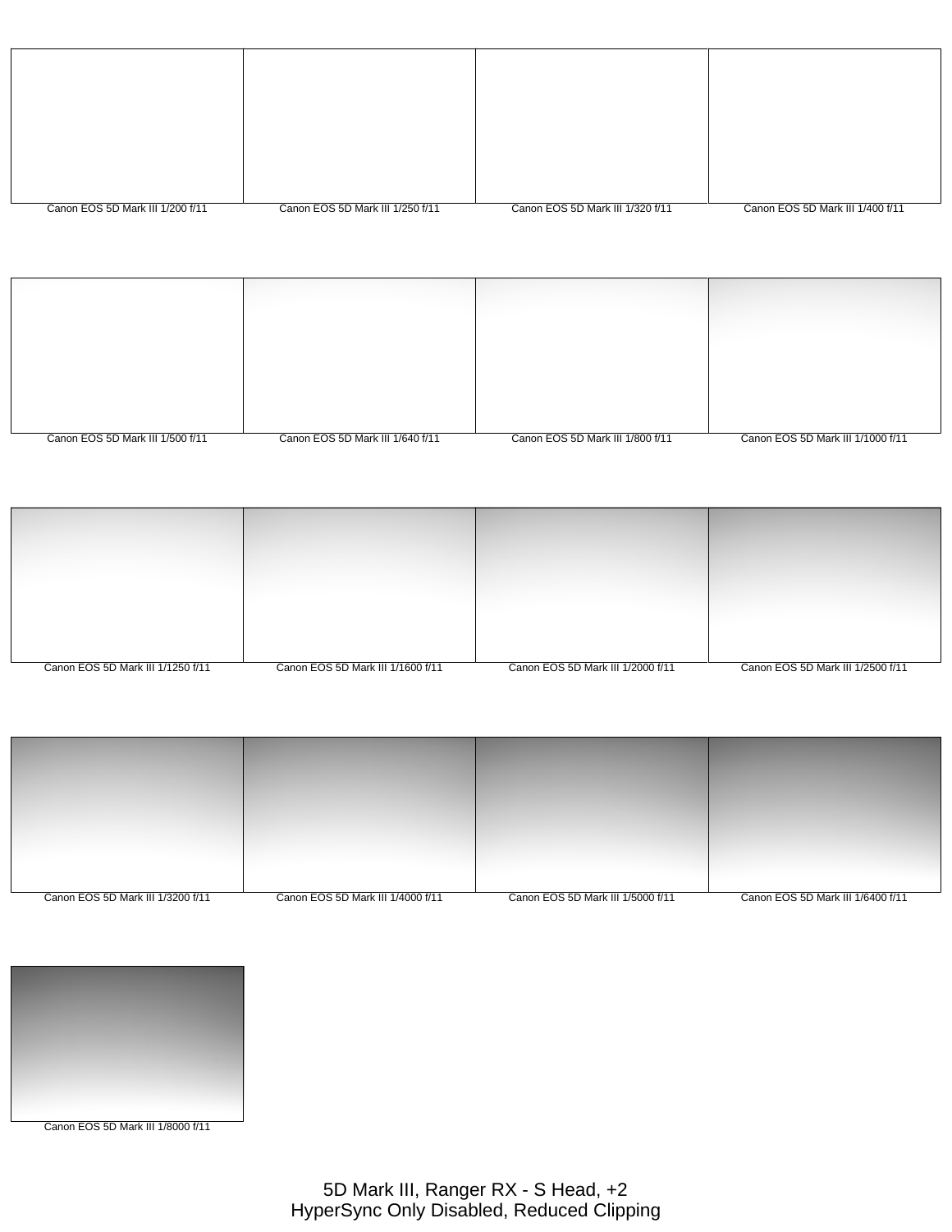| Canon EOS 5D Mark III 1/200 f/11 | Canon EOS 5D Mark III 1/250 f/11 | Canon EOS 5D Mark III 1/320 f/11 | Canon EOS 5D Mark III 1/400 f/11 |
|----------------------------------|----------------------------------|----------------------------------|----------------------------------|

| Canon EOS 5D Mark III 1/500 f/11 | Canon EOS 5D Mark III 1/640 f/11 | Canon EOS 5D Mark III 1/800 f/11 | Canon EOS 5D Mark III 1/1000 f/11 |
|----------------------------------|----------------------------------|----------------------------------|-----------------------------------|
|                                  |                                  |                                  |                                   |

| Canon EOS 5D Mark III 1/1250 f/11 | Canon EOS 5D Mark III 1/1600 f/11 | Canon EOS 5D Mark III 1/2000 f/11 | Canon EOS 5D Mark III 1/2500 f/11 |
|-----------------------------------|-----------------------------------|-----------------------------------|-----------------------------------|

| Canon EOS 5D Mark III 1/3200 f/11 | Canon EOS 5D Mark III 1/4000 f/11 | Canon EOS 5D Mark III 1/5000 f/11 | Canon EOS 5D Mark III 1/6400 f/11 |
|-----------------------------------|-----------------------------------|-----------------------------------|-----------------------------------|

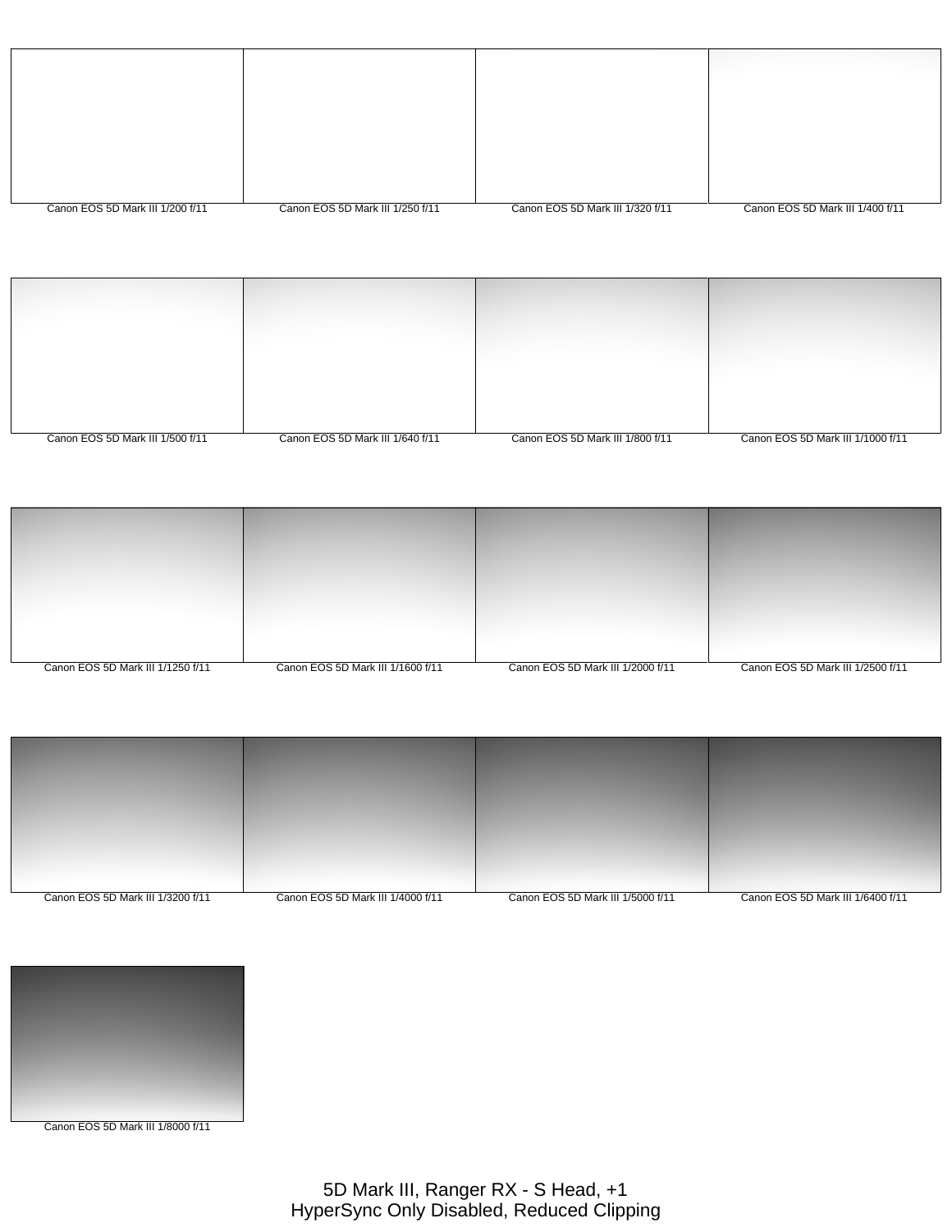| Canon EOS 5D Mark III 1/200 f/11 | Canon EOS 5D Mark III 1/250 f/11 | Canon EOS 5D Mark III 1/320 f/11 | Canon EOS 5D Mark III 1/400 f/11 |
|----------------------------------|----------------------------------|----------------------------------|----------------------------------|

| Canon EOS 5D Mark III 1/500 f/11 | Canon EOS 5D Mark III 1/640 f/11 | Canon EOS 5D Mark III 1/800 f/11 | Canon EOS 5D Mark III 1/1000 f/11 |
|----------------------------------|----------------------------------|----------------------------------|-----------------------------------|

| Canon EOS 5D Mark III 1/1250 f/11 | Canon EOS 5D Mark III 1/1600 f/11 | Canon EOS 5D Mark III 1/2000 f/11 | Canon EOS 5D Mark III 1/2500 f/11 |
|-----------------------------------|-----------------------------------|-----------------------------------|-----------------------------------|

| Canon EOS 5D Mark III 1/3200 f/11 | Canon EOS 5D Mark III 1/4000 f/11 | Canon EOS 5D Mark III 1/5000 f/11 | Canon EOS 5D Mark III 1/6400 f/11 |
|-----------------------------------|-----------------------------------|-----------------------------------|-----------------------------------|

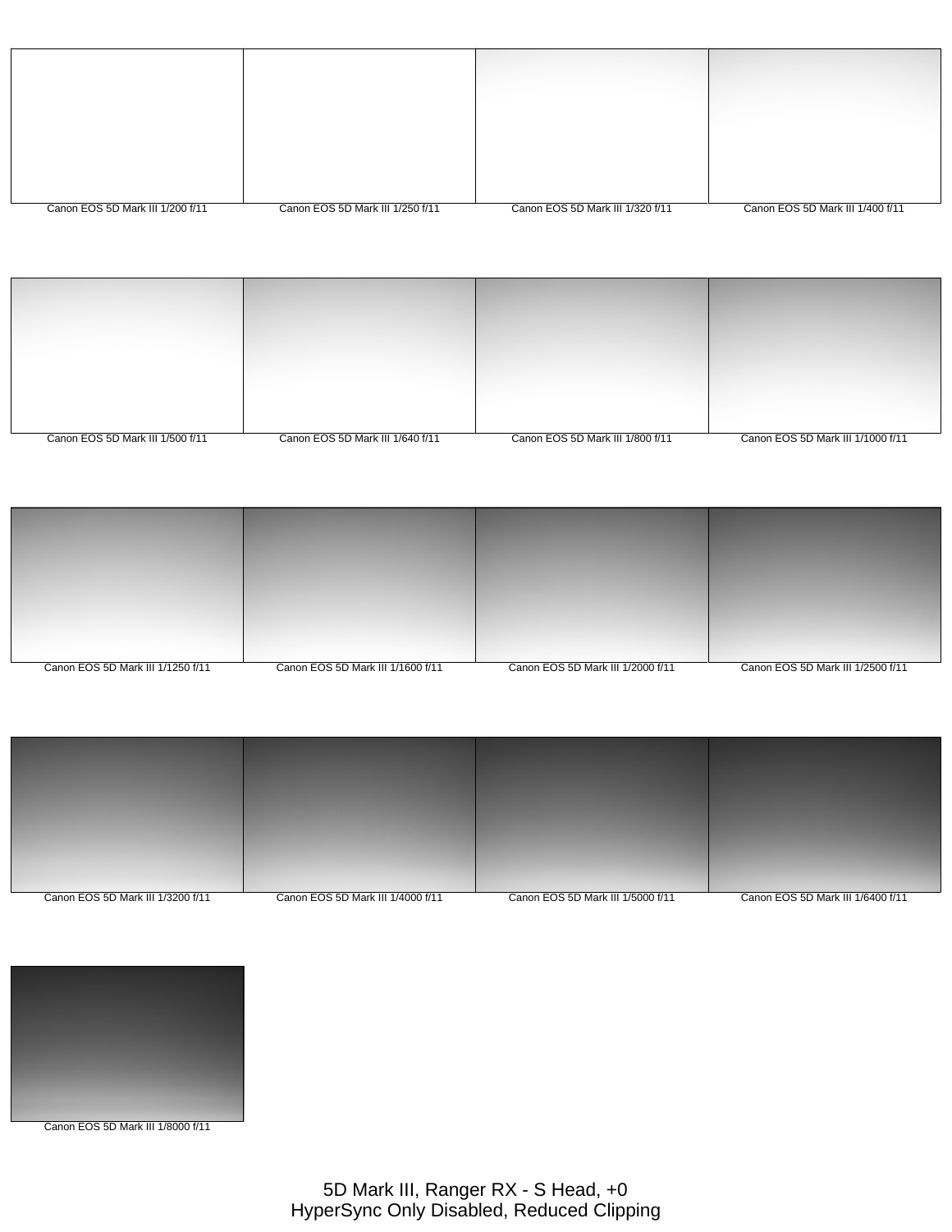| Canon EOS 5D Mark III 1/200 f/11 | Canon EOS 5D Mark III 1/250 f/11 | Canon EOS 5D Mark III 1/320 f/11 | Canon EOS 5D Mark III 1/400 f/11 |
|----------------------------------|----------------------------------|----------------------------------|----------------------------------|

| Canon EOS 5D Mark III 1/500 f/11 | Canon EOS 5D Mark III 1/640 f/11 | Canon EOS 5D Mark III 1/800 f/11 | Canon EOS 5D Mark III 1/1000 f/11 |
|----------------------------------|----------------------------------|----------------------------------|-----------------------------------|

| Canon EOS 5D Mark III 1/1250 f/11 | Canon EOS 5D Mark III 1/1600 f/11 | Canon EOS 5D Mark III 1/2000 f/11 | Canon EOS 5D Mark III 1/2500 f/11 |
|-----------------------------------|-----------------------------------|-----------------------------------|-----------------------------------|



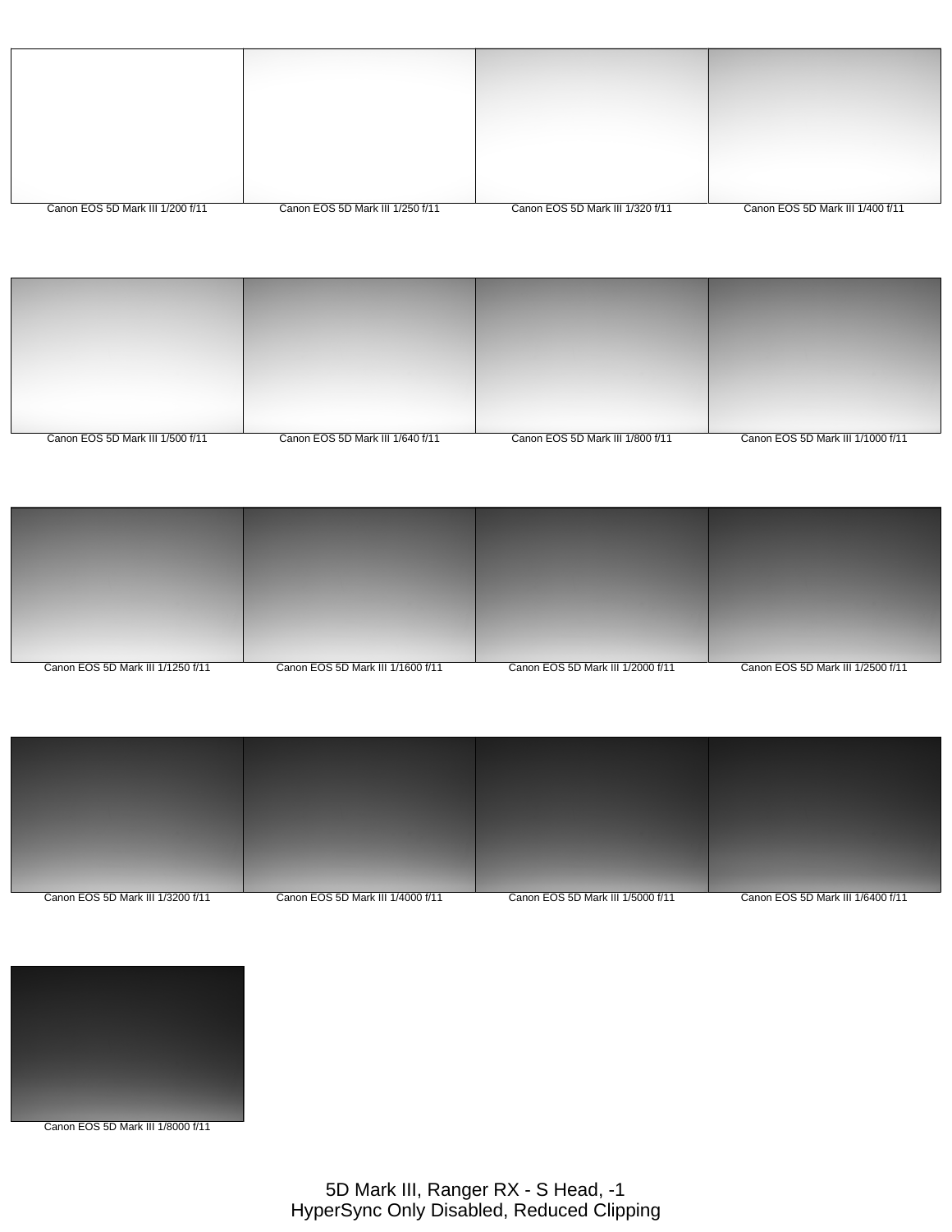| Canon EOS 5D Mark III 1/200 f/11 | Canon EOS 5D Mark III 1/250 f/11 | Canon EOS 5D Mark III 1/320 f/11 | Canon EOS 5D Mark III 1/400 f/11 |
|----------------------------------|----------------------------------|----------------------------------|----------------------------------|

| Canon EOS 5D Mark III 1/500 f/11 | Canon EOS 5D Mark III 1/640 f/11 | Canon EOS 5D Mark III 1/800 f/11 | Canon EOS 5D Mark III 1/1000 f/11 |
|----------------------------------|----------------------------------|----------------------------------|-----------------------------------|





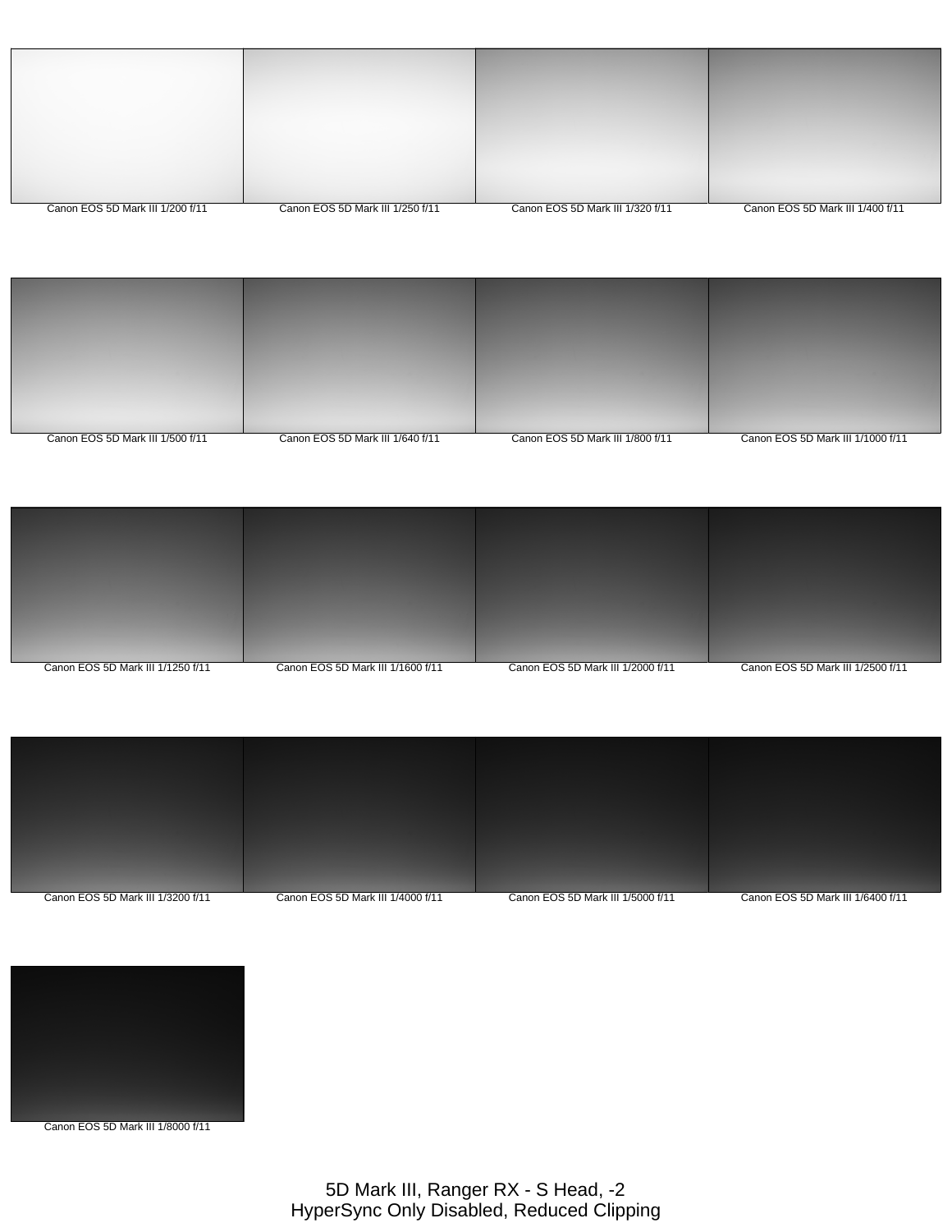| Canon EOS 5D Mark III 1/200 f/11 | Canon EOS 5D Mark III 1/250 f/11 | Canon EOS 5D Mark III 1/320 f/11 | Canon EOS 5D Mark III 1/400 f/11 |
|----------------------------------|----------------------------------|----------------------------------|----------------------------------|

| Canon EOS 5D Mark III 1/500 f/11 | Canon EOS 5D Mark III 1/640 f/11 | Canon EOS 5D Mark III 1/800 f/11 | Canon EOS 5D Mark III 1/1000 f/11 |
|----------------------------------|----------------------------------|----------------------------------|-----------------------------------|